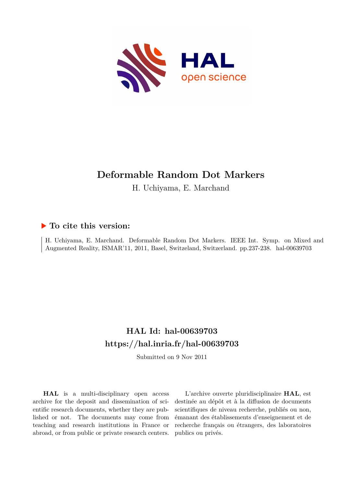

# **Deformable Random Dot Markers**

H. Uchiyama, E. Marchand

# **To cite this version:**

H. Uchiyama, E. Marchand. Deformable Random Dot Markers. IEEE Int. Symp. on Mixed and Augmented Reality, ISMAR'11, 2011, Basel, Switzeland, Switzerland. pp.237-238. hal-00639703

# **HAL Id: hal-00639703 <https://hal.inria.fr/hal-00639703>**

Submitted on 9 Nov 2011

**HAL** is a multi-disciplinary open access archive for the deposit and dissemination of scientific research documents, whether they are published or not. The documents may come from teaching and research institutions in France or abroad, or from public or private research centers.

L'archive ouverte pluridisciplinaire **HAL**, est destinée au dépôt et à la diffusion de documents scientifiques de niveau recherche, publiés ou non, émanant des établissements d'enseignement et de recherche français ou étrangers, des laboratoires publics ou privés.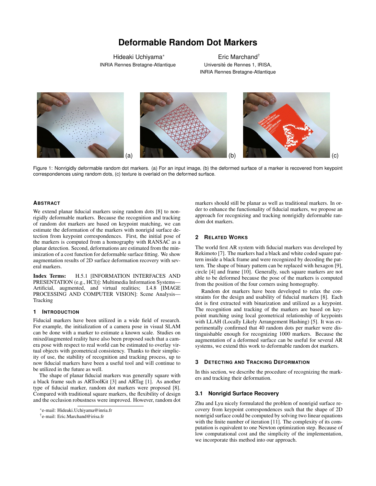# **Deformable Random Dot Markers**

Hideaki Uchiyama*∗* INRIA Rennes Bretagne-Atlantique

Eric Marchand† Université de Rennes 1, IRISA, INRIA Rennes Bretagne-Atlantique



Figure 1: Nonrigidly deformable random dot markers. (a) For an input image, (b) the deformed surface of a marker is recovered from keypoint correspondences using random dots, (c) texture is overlaid on the deformed surface.

### **ABSTRACT**

We extend planar fiducial markers using random dots [8] to nonrigidly deformable markers. Because the recognition and tracking of random dot markers are based on keypoint matching, we can estimate the deformation of the markers with nonrigid surface detection from keypoint correspondences. First, the initial pose of the markers is computed from a homography with RANSAC as a planar detection. Second, deformations are estimated from the minimization of a cost function for deformable surface fitting. We show augmentation results of 2D surface deformation recovery with several markers.

Index Terms: H.5.1 [INFORMATION INTERFACES AND PRESENTATION (e.g., HCI)]: Multimedia Information Systems— Artificial, augmented, and virtual realities; I.4.8 [IMAGE PROCESSING AND COMPUTER VISION]: Scene Analysis— Tracking

#### **1 INTRODUCTION**

Fiducial markers have been utilized in a wide field of research. For example, the initialization of a camera pose in visual SLAM can be done with a marker to estimate a known scale. Studies on mixed/augmented reality have also been proposed such that a camera pose with respect to real world can be estimated to overlay virtual objects with geometrical consistency. Thanks to their simplicity of use, the stability of recognition and tracking process, up to now fiducial markers have been a useful tool and will continue to be utilized in the future as well.

The shape of planar fiducial markers was generally square with a black frame such as ARToolKit [3] and ARTag [1]. As another type of fiducial marker, random dot markers were proposed [8]. Compared with traditional square markers, the flexibility of design and the occlusion robustness were improved. However, random dot

*∗* e-mail: Hideaki.Uchiyama@inria.fr

† e-mail: Eric.Marchand@irisa.fr

markers should still be planar as well as traditional markers. In order to enhance the functionality of fiducial markers, we propose an approach for recognizing and tracking nonrigidly deformable random dot markers.

## **2 RELATED WORKS**

The world first AR system with fiducial markers was developed by Rekimoto [7]. The markers had a black and white coded square pattern inside a black frame and were recognized by decoding the pattern. The shape of binary pattern can be replaced with hexagon [9], circle [4] and frame [10]. Generally, such square markers are not able to be deformed because the pose of the markers is computed from the position of the four corners using homography.

Random dot markers have been developed to relax the constraints for the design and usability of fiducial markers [8]. Each dot is first extracted with binarization and utilized as a keypoint. The recognition and tracking of the markers are based on keypoint matching using local geometrical relationship of keypoints with LLAH (Locally Likely Arrangement Hashing) [5]. It was experimentally confirmed that 40 random dots per marker were distinguishable enough for recognizing 1000 markers. Because the augmentation of a deformed surface can be useful for several AR systems, we extend this work to deformable random dot markers.

#### **3 DETECTING AND TRACKING DEFORMATION**

In this section, we describe the procedure of recognizing the markers and tracking their deformation.

#### **3.1 Nonrigid Surface Recovery**

Zhu and Lyu nicely formulated the problem of nonrigid surface recovery from keypoint correspondences such that the shape of 2D nonrigid surface could be computed by solving two linear equations with the finite number of iteration [11]. The complexity of its computation is equivalent to one Newton optimization step. Because of low computational cost and the simplicity of the implementation, we incorporate this method into our approach.